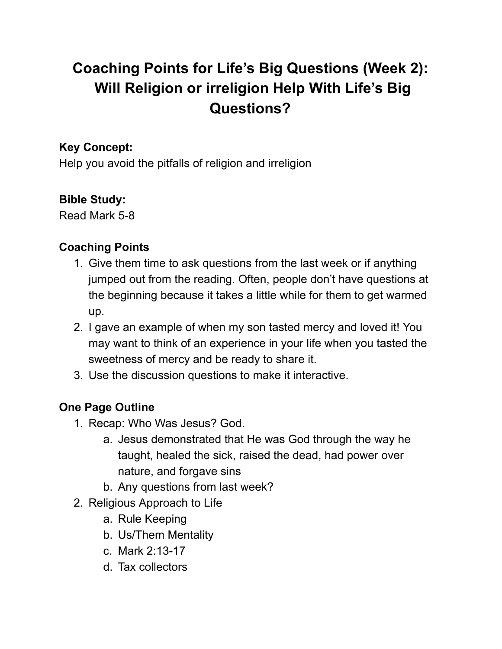# **Coaching Points for Life's Big Questions (Week 2): Will Religion or irreligion Help With Life's Big Questions?**

#### **Key Concept:**

Help you avoid the pitfalls of religion and irreligion

#### **Bible Study:**

Read Mark 5-8

### **Coaching Points**

- 1. Give them time to ask questions from the last week or if anything jumped out from the reading. Often, people don't have questions at the beginning because it takes a little while for them to get warmed up.
- 2. I gave an example of when my son tasted mercy and loved it! You may want to think of an experience in your life when you tasted the sweetness of mercy and be ready to share it.
- 3. Use the discussion questions to make it interactive.

## **One Page Outline**

- 1. Recap: Who Was Jesus? God.
	- a. Jesus demonstrated that He was God through the way he taught, healed the sick, raised the dead, had power over nature, and forgave sins
	- b. Any questions from last week?
- 2. Religious Approach to Life
	- a. Rule Keeping
	- b. Us/Them Mentality
	- c. Mark 2:13-17
	- d. Tax collectors